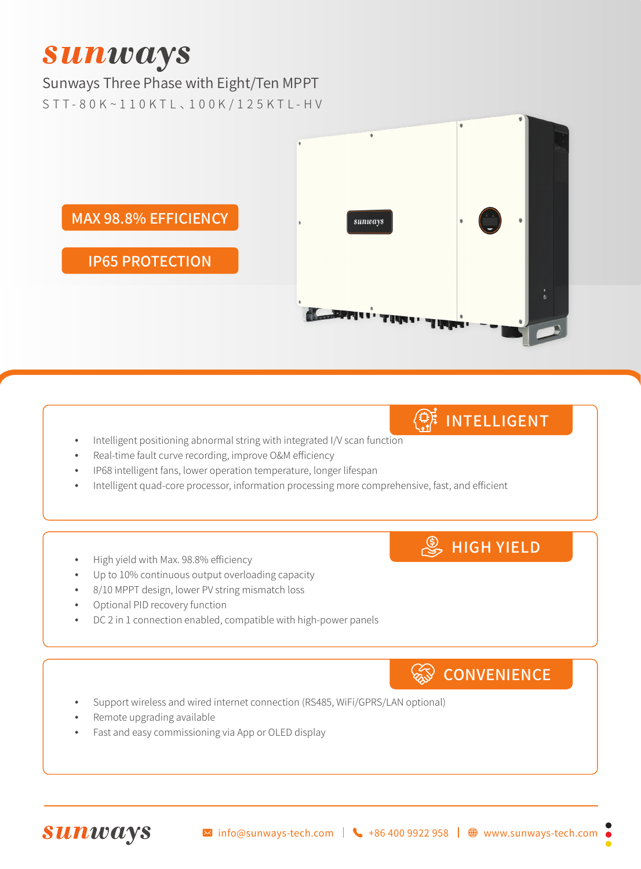# **Sunways**

#### Sunways Three Phase with Eight/Ten MPPT

S T T - 8 0 K ~ 1 1 0 K T L 、1 0 0 K / 1 2 5 K T L - H V



- $\mathbb{Q}_k^*$  intelligent
- Intelligent positioning abnormal string with integrated I/V scan function
- Real-time fault curve recording, improve O&M efficiency
- IP68 intelligent fans, lower operation temperature, longer lifespan
- Intelligent quad-core processor, information processing more comprehensive, fast, and efficient
- High yield with Max. 98.8% efficiency
- Up to 10% continuous output overloading capacity
- 8/10 MPPT design, lower PV string mismatch loss
- Optional PID recovery function
- DC 2 in 1 connection enabled, compatible with high-power panels

### **CONVENIENCE**

**S**HIGH YIELD

- Support wireless and wired internet connection (RS485, WiFi/GPRS/LAN optional)
- Remote upgrading available
- Fast and easy commissioning via App or OLED display